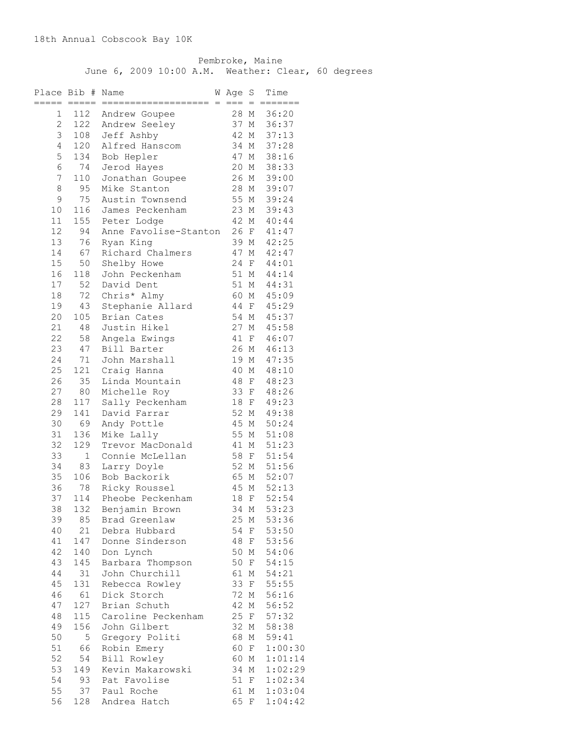Pembroke, Maine June 6, 2009 10:00 A.M. Weather: Clear, 60 degrees

|                | Place Bib # Name |                       | W Age S |              | Time       |
|----------------|------------------|-----------------------|---------|--------------|------------|
|                | $=====$          |                       |         | $=$          | ======     |
| $\mathbf 1$    | 112              | Andrew Goupee         | 28 M    |              | 36:20      |
| $\overline{c}$ | 122              | Andrew Seeley         | 37 M    |              | 36:37      |
| 3              | 108              | Jeff Ashby            | 42 M    |              | 37:13      |
| 4              | 120              | Alfred Hanscom        | 34 M    |              | 37:28      |
| 5              | 134              | Bob Hepler            | 47 M    |              | 38:16      |
| 6              | 74               | Jerod Hayes           | 20 M    |              | 38:33      |
| $\overline{7}$ | 110              | Jonathan Goupee       | 26 M    |              | 39:00      |
| 8              | 95               | Mike Stanton          | 28 M    |              | 39:07      |
| 9              | 75               | Austin Townsend       | 55 M    |              | 39:24      |
| 10             | 116              | James Peckenham       | 23 M    |              | 39:43      |
| 11             | 155              | Peter Lodge           | 42 M    |              | 40:44      |
| 12             | 94               |                       | 26 F    |              |            |
|                |                  | Anne Favolise-Stanton |         |              | 41:47      |
| 13             | 76               | Ryan King             | 39 M    |              | 42:25      |
| 14             | 67               | Richard Chalmers      | 47 M    |              | 42:47      |
| 15             | 50               | Shelby Howe           | 24      | $\mathbf{F}$ | 44:01      |
| 16             | 118              | John Peckenham        | 51 M    |              | 44:14      |
| 17             | 52               | David Dent            | 51 M    |              | 44:31      |
| 18             | 72               | Chris* Almy           | 60 M    |              | 45:09      |
| 19             | 43               | Stephanie Allard      | 44 F    |              | 45:29      |
| 20             | 105              | Brian Cates           | 54 M    |              | 45:37      |
| 21             | 48               | Justin Hikel          | 27 M    |              | 45:58      |
| 22             | 58               | Angela Ewings         | 41 F    |              | 46:07      |
| 23             | 47               | Bill Barter           | 26 M    |              | 46:13      |
| 24             | 71               | John Marshall         | 19 M    |              | 47:35      |
| 25             | 121              | Craig Hanna           | 40 M    |              | 48:10      |
| 26             | 35               | Linda Mountain        | 48      | $\mathbf{F}$ | 48:23      |
| 27             | 80               | Michelle Roy          | 33 F    |              | 48:26      |
| 28             | 117              | Sally Peckenham       | 18 F    |              | 49:23      |
| 29             | 141              | David Farrar          | 52 M    |              | 49:38      |
| 30             | 69               | Andy Pottle           | 45 M    |              | 50:24      |
| 31             | 136              | Mike Lally            | 55 M    |              | 51:08      |
| 32             | 129              | Trevor MacDonald      | 41 M    |              | 51:23      |
| 33             | $\mathbf{1}$     | Connie McLellan       | 58      | F            | 51:54      |
| 34             | 83               | Larry Doyle           | 52 M    |              | 51:56      |
| 35             | 106              | Bob Backorik          | 65 M    |              | 52:07      |
| 36             | 78               | Ricky Roussel         | 45 M    |              | 52:13      |
| 37             | 114              | Pheobe Peckenham      | 18      | $\mathbf{F}$ | 52:54      |
| 38             |                  | 132 Benjamin Brown    | 34 M    |              | 53:23      |
| 39             | 85               | Brad Greenlaw         |         |              | 25 M 53:36 |
| 40             | 21               | Debra Hubbard         |         |              | 54 F 53:50 |
| 41             | 147              | Donne Sinderson       |         |              | 48 F 53:56 |
| 42             | 140              | Don Lynch             | 50 M    |              | 54:06      |
| 43             | 145              | Barbara Thompson      | 50 F    |              | 54:15      |
| 44             | 31               | John Churchill        | 61 M    |              | 54:21      |
| 45             | 131              | Rebecca Rowley        | 33 F    |              | 55:55      |
| 46             | 61               | Dick Storch           | 72 M    |              | 56:16      |
| 47             | 127              | Brian Schuth          | 42 M    |              | 56:52      |
| 48             | 115              | Caroline Peckenham    | 25 F    |              | 57:32      |
| 49             | 156              | John Gilbert          | 32 M    |              | 58:38      |
| 50             | 5 <sup>5</sup>   | Gregory Politi        | 68 M    |              | 59:41      |
| 51             | 66               | Robin Emery           | 60 F    |              | 1:00:30    |
| 52             | 54               | Bill Rowley           | 60 M    |              | 1:01:14    |
| 53             | 149              | Kevin Makarowski      | 34 M    |              | 1:02:29    |
| 54             | 93               | Pat Favolise          | 51 F    |              | 1:02:34    |
| 55             |                  | 37 Paul Roche         | 61 M    |              | 1:03:04    |
|                |                  | 56 128 Andrea Hatch   | 65 F    |              | 1:04:42    |
|                |                  |                       |         |              |            |